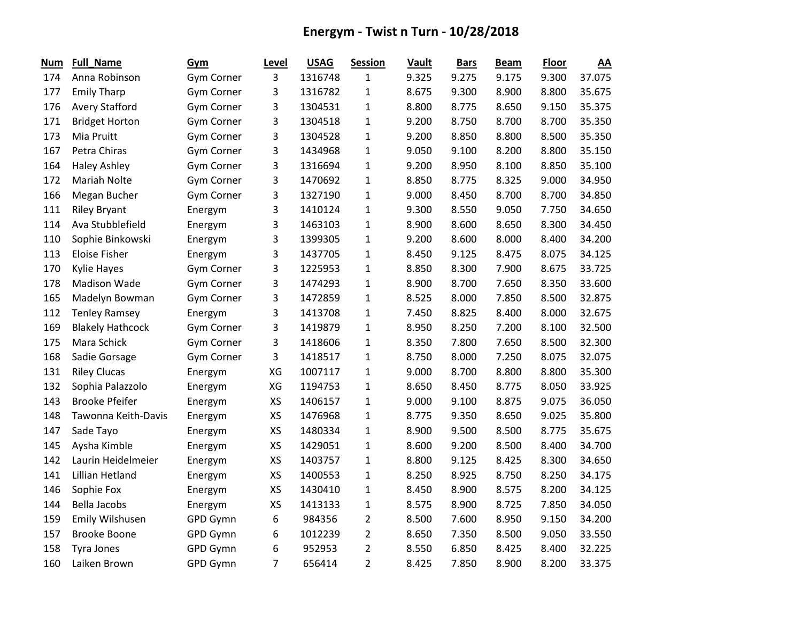## **Energym - Twist n Turn - 10/28/2018**

| <b>Num</b> | <b>Full_Name</b>        | Gym               | Level     | <b>USAG</b> | <b>Session</b> | Vault | <b>Bars</b> | <b>Beam</b> | <b>Floor</b> | AA     |
|------------|-------------------------|-------------------|-----------|-------------|----------------|-------|-------------|-------------|--------------|--------|
| 174        | Anna Robinson           | Gym Corner        | 3         | 1316748     | 1              | 9.325 | 9.275       | 9.175       | 9.300        | 37.075 |
| 177        | <b>Emily Tharp</b>      | Gym Corner        | 3         | 1316782     | 1              | 8.675 | 9.300       | 8.900       | 8.800        | 35.675 |
| 176        | <b>Avery Stafford</b>   | Gym Corner        | 3         | 1304531     | $\mathbf{1}$   | 8.800 | 8.775       | 8.650       | 9.150        | 35.375 |
| 171        | <b>Bridget Horton</b>   | Gym Corner        | 3         | 1304518     | $\mathbf{1}$   | 9.200 | 8.750       | 8.700       | 8.700        | 35.350 |
| 173        | Mia Pruitt              | Gym Corner        | 3         | 1304528     | $\mathbf{1}$   | 9.200 | 8.850       | 8.800       | 8.500        | 35.350 |
| 167        | Petra Chiras            | Gym Corner        | 3         | 1434968     | $\mathbf{1}$   | 9.050 | 9.100       | 8.200       | 8.800        | 35.150 |
| 164        | <b>Haley Ashley</b>     | <b>Gym Corner</b> | 3         | 1316694     | $\mathbf{1}$   | 9.200 | 8.950       | 8.100       | 8.850        | 35.100 |
| 172        | Mariah Nolte            | Gym Corner        | 3         | 1470692     | $\mathbf{1}$   | 8.850 | 8.775       | 8.325       | 9.000        | 34.950 |
| 166        | Megan Bucher            | Gym Corner        | 3         | 1327190     | 1              | 9.000 | 8.450       | 8.700       | 8.700        | 34.850 |
| 111        | <b>Riley Bryant</b>     | Energym           | 3         | 1410124     | $\mathbf{1}$   | 9.300 | 8.550       | 9.050       | 7.750        | 34.650 |
| 114        | Ava Stubblefield        | Energym           | 3         | 1463103     | $\mathbf{1}$   | 8.900 | 8.600       | 8.650       | 8.300        | 34.450 |
| 110        | Sophie Binkowski        | Energym           | 3         | 1399305     | $\mathbf{1}$   | 9.200 | 8.600       | 8.000       | 8.400        | 34.200 |
| 113        | <b>Eloise Fisher</b>    | Energym           | 3         | 1437705     | $\mathbf 1$    | 8.450 | 9.125       | 8.475       | 8.075        | 34.125 |
| 170        | <b>Kylie Hayes</b>      | Gym Corner        | 3         | 1225953     | $\mathbf{1}$   | 8.850 | 8.300       | 7.900       | 8.675        | 33.725 |
| 178        | <b>Madison Wade</b>     | Gym Corner        | 3         | 1474293     | $\mathbf{1}$   | 8.900 | 8.700       | 7.650       | 8.350        | 33.600 |
| 165        | Madelyn Bowman          | Gym Corner        | 3         | 1472859     | 1              | 8.525 | 8.000       | 7.850       | 8.500        | 32.875 |
| 112        | <b>Tenley Ramsey</b>    | Energym           | 3         | 1413708     | $\mathbf{1}$   | 7.450 | 8.825       | 8.400       | 8.000        | 32.675 |
| 169        | <b>Blakely Hathcock</b> | Gym Corner        | 3         | 1419879     | $\mathbf{1}$   | 8.950 | 8.250       | 7.200       | 8.100        | 32.500 |
| 175        | Mara Schick             | Gym Corner        | 3         | 1418606     | $\mathbf{1}$   | 8.350 | 7.800       | 7.650       | 8.500        | 32.300 |
| 168        | Sadie Gorsage           | Gym Corner        | 3         | 1418517     | $\mathbf{1}$   | 8.750 | 8.000       | 7.250       | 8.075        | 32.075 |
| 131        | <b>Riley Clucas</b>     | Energym           | XG        | 1007117     | $\mathbf{1}$   | 9.000 | 8.700       | 8.800       | 8.800        | 35.300 |
| 132        | Sophia Palazzolo        | Energym           | XG        | 1194753     | $\mathbf{1}$   | 8.650 | 8.450       | 8.775       | 8.050        | 33.925 |
| 143        | <b>Brooke Pfeifer</b>   | Energym           | XS        | 1406157     | 1              | 9.000 | 9.100       | 8.875       | 9.075        | 36.050 |
| 148        | Tawonna Keith-Davis     | Energym           | XS        | 1476968     | $\mathbf{1}$   | 8.775 | 9.350       | 8.650       | 9.025        | 35.800 |
| 147        | Sade Tayo               | Energym           | XS        | 1480334     | $\mathbf{1}$   | 8.900 | 9.500       | 8.500       | 8.775        | 35.675 |
| 145        | Aysha Kimble            | Energym           | <b>XS</b> | 1429051     | $\mathbf{1}$   | 8.600 | 9.200       | 8.500       | 8.400        | 34.700 |
| 142        | Laurin Heidelmeier      | Energym           | XS        | 1403757     | $\mathbf{1}$   | 8.800 | 9.125       | 8.425       | 8.300        | 34.650 |
| 141        | <b>Lillian Hetland</b>  | Energym           | XS        | 1400553     | $\mathbf{1}$   | 8.250 | 8.925       | 8.750       | 8.250        | 34.175 |
| 146        | Sophie Fox              | Energym           | XS        | 1430410     | $\mathbf{1}$   | 8.450 | 8.900       | 8.575       | 8.200        | 34.125 |
| 144        | <b>Bella Jacobs</b>     | Energym           | XS        | 1413133     | 1              | 8.575 | 8.900       | 8.725       | 7.850        | 34.050 |
| 159        | Emily Wilshusen         | GPD Gymn          | 6         | 984356      | 2              | 8.500 | 7.600       | 8.950       | 9.150        | 34.200 |
| 157        | <b>Brooke Boone</b>     | GPD Gymn          | 6         | 1012239     | 2              | 8.650 | 7.350       | 8.500       | 9.050        | 33.550 |
| 158        | Tyra Jones              | <b>GPD Gymn</b>   | 6         | 952953      | 2              | 8.550 | 6.850       | 8.425       | 8.400        | 32.225 |
| 160        | Laiken Brown            | GPD Gymn          | 7         | 656414      | 2              | 8.425 | 7.850       | 8.900       | 8.200        | 33.375 |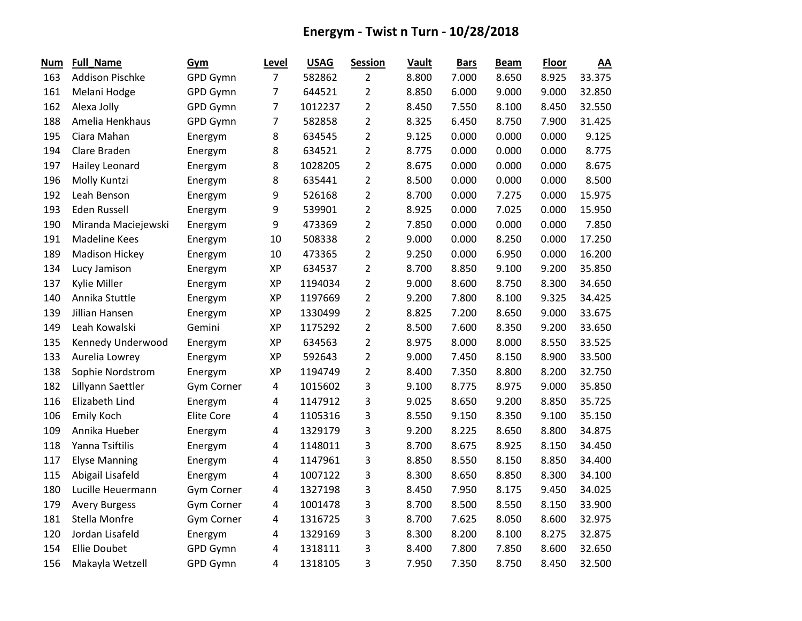## **Energym - Twist n Turn - 10/28/2018**

| Num | <b>Full_Name</b>       | Gym        | Level          | <b>USAG</b> | Session        | Vault | <b>Bars</b> | <b>Beam</b> | <b>Floor</b> | AA     |
|-----|------------------------|------------|----------------|-------------|----------------|-------|-------------|-------------|--------------|--------|
| 163 | <b>Addison Pischke</b> | GPD Gymn   | $\overline{7}$ | 582862      | 2              | 8.800 | 7.000       | 8.650       | 8.925        | 33.375 |
| 161 | Melani Hodge           | GPD Gymn   | $\overline{7}$ | 644521      | $\overline{2}$ | 8.850 | 6.000       | 9.000       | 9.000        | 32.850 |
| 162 | Alexa Jolly            | GPD Gymn   | $\overline{7}$ | 1012237     | 2              | 8.450 | 7.550       | 8.100       | 8.450        | 32.550 |
| 188 | Amelia Henkhaus        | GPD Gymn   | $\overline{7}$ | 582858      | $\overline{2}$ | 8.325 | 6.450       | 8.750       | 7.900        | 31.425 |
| 195 | Ciara Mahan            | Energym    | 8              | 634545      | 2              | 9.125 | 0.000       | 0.000       | 0.000        | 9.125  |
| 194 | Clare Braden           | Energym    | 8              | 634521      | 2              | 8.775 | 0.000       | 0.000       | 0.000        | 8.775  |
| 197 | Hailey Leonard         | Energym    | 8              | 1028205     | $\overline{2}$ | 8.675 | 0.000       | 0.000       | 0.000        | 8.675  |
| 196 | Molly Kuntzi           | Energym    | 8              | 635441      | 2              | 8.500 | 0.000       | 0.000       | 0.000        | 8.500  |
| 192 | Leah Benson            | Energym    | 9              | 526168      | $\overline{2}$ | 8.700 | 0.000       | 7.275       | 0.000        | 15.975 |
| 193 | Eden Russell           | Energym    | 9              | 539901      | 2              | 8.925 | 0.000       | 7.025       | 0.000        | 15.950 |
| 190 | Miranda Maciejewski    | Energym    | 9              | 473369      | 2              | 7.850 | 0.000       | 0.000       | 0.000        | 7.850  |
| 191 | <b>Madeline Kees</b>   | Energym    | 10             | 508338      | 2              | 9.000 | 0.000       | 8.250       | 0.000        | 17.250 |
| 189 | <b>Madison Hickey</b>  | Energym    | 10             | 473365      | 2              | 9.250 | 0.000       | 6.950       | 0.000        | 16.200 |
| 134 | Lucy Jamison           | Energym    | XP             | 634537      | $\overline{2}$ | 8.700 | 8.850       | 9.100       | 9.200        | 35.850 |
| 137 | Kylie Miller           | Energym    | XP             | 1194034     | $\overline{2}$ | 9.000 | 8.600       | 8.750       | 8.300        | 34.650 |
| 140 | Annika Stuttle         | Energym    | XP             | 1197669     | $\overline{2}$ | 9.200 | 7.800       | 8.100       | 9.325        | 34.425 |
| 139 | Jillian Hansen         | Energym    | XP             | 1330499     | $\overline{2}$ | 8.825 | 7.200       | 8.650       | 9.000        | 33.675 |
| 149 | Leah Kowalski          | Gemini     | XP             | 1175292     | $\overline{2}$ | 8.500 | 7.600       | 8.350       | 9.200        | 33.650 |
| 135 | Kennedy Underwood      | Energym    | XP             | 634563      | 2              | 8.975 | 8.000       | 8.000       | 8.550        | 33.525 |
| 133 | Aurelia Lowrey         | Energym    | XP             | 592643      | 2              | 9.000 | 7.450       | 8.150       | 8.900        | 33.500 |
| 138 | Sophie Nordstrom       | Energym    | XP             | 1194749     | $\overline{2}$ | 8.400 | 7.350       | 8.800       | 8.200        | 32.750 |
| 182 | Lillyann Saettler      | Gym Corner | 4              | 1015602     | 3              | 9.100 | 8.775       | 8.975       | 9.000        | 35.850 |
| 116 | Elizabeth Lind         | Energym    | 4              | 1147912     | 3              | 9.025 | 8.650       | 9.200       | 8.850        | 35.725 |
| 106 | <b>Emily Koch</b>      | Elite Core | 4              | 1105316     | 3              | 8.550 | 9.150       | 8.350       | 9.100        | 35.150 |
| 109 | Annika Hueber          | Energym    | 4              | 1329179     | 3              | 9.200 | 8.225       | 8.650       | 8.800        | 34.875 |
| 118 | Yanna Tsiftilis        | Energym    | 4              | 1148011     | 3              | 8.700 | 8.675       | 8.925       | 8.150        | 34.450 |
| 117 | <b>Elyse Manning</b>   | Energym    | 4              | 1147961     | 3              | 8.850 | 8.550       | 8.150       | 8.850        | 34.400 |
| 115 | Abigail Lisafeld       | Energym    | 4              | 1007122     | 3              | 8.300 | 8.650       | 8.850       | 8.300        | 34.100 |
| 180 | Lucille Heuermann      | Gym Corner | $\overline{a}$ | 1327198     | 3              | 8.450 | 7.950       | 8.175       | 9.450        | 34.025 |
| 179 | <b>Avery Burgess</b>   | Gym Corner | 4              | 1001478     | 3              | 8.700 | 8.500       | 8.550       | 8.150        | 33.900 |
| 181 | Stella Monfre          | Gym Corner | $\overline{a}$ | 1316725     | 3              | 8.700 | 7.625       | 8.050       | 8.600        | 32.975 |
| 120 | Jordan Lisafeld        | Energym    | 4              | 1329169     | 3              | 8.300 | 8.200       | 8.100       | 8.275        | 32.875 |
| 154 | <b>Ellie Doubet</b>    | GPD Gymn   | 4              | 1318111     | 3              | 8.400 | 7.800       | 7.850       | 8.600        | 32.650 |
| 156 | Makayla Wetzell        | GPD Gymn   | 4              | 1318105     | 3              | 7.950 | 7.350       | 8.750       | 8.450        | 32.500 |